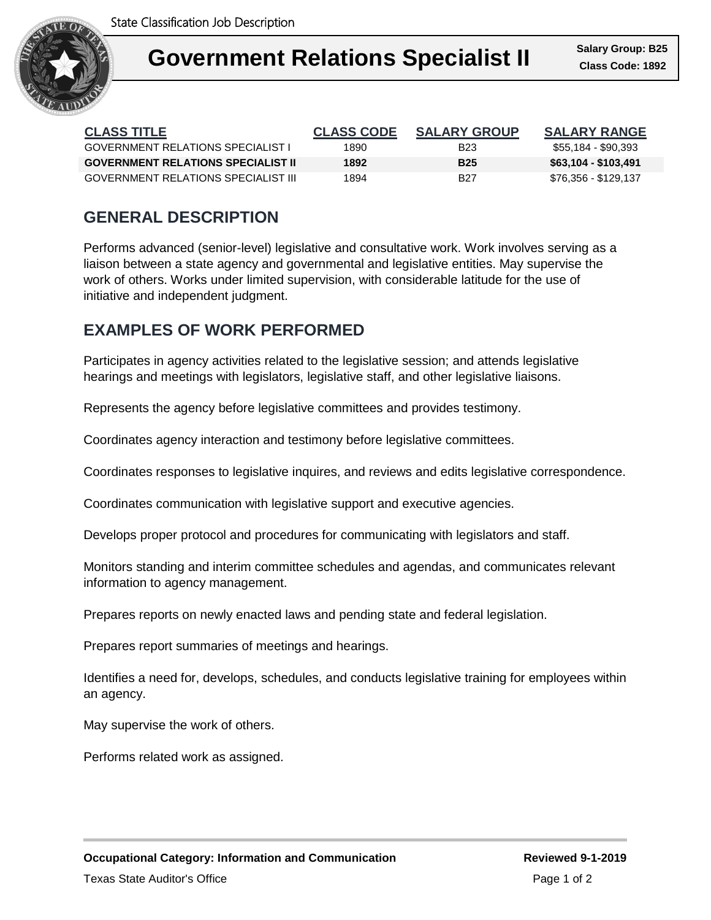

| <b>CLASS TITLE</b>                        | <b>CLASS CODE</b> | <b>SALARY GROUP</b> | <b>SALARY RANGE</b>  |
|-------------------------------------------|-------------------|---------------------|----------------------|
| GOVERNMENT RELATIONS SPECIALIST L         | 1890              | B23                 | \$55,184 - \$90,393  |
| <b>GOVERNMENT RELATIONS SPECIALIST II</b> | 1892              | <b>B25</b>          | \$63,104 - \$103,491 |
| GOVERNMENT RELATIONS SPECIALIST III       | 1894              | B27                 | \$76,356 - \$129,137 |

## **GENERAL DESCRIPTION**

Performs advanced (senior-level) legislative and consultative work. Work involves serving as a liaison between a state agency and governmental and legislative entities. May supervise the work of others. Works under limited supervision, with considerable latitude for the use of initiative and independent judgment.

### **EXAMPLES OF WORK PERFORMED**

Participates in agency activities related to the legislative session; and attends legislative hearings and meetings with legislators, legislative staff, and other legislative liaisons.

Represents the agency before legislative committees and provides testimony.

Coordinates agency interaction and testimony before legislative committees.

Coordinates responses to legislative inquires, and reviews and edits legislative correspondence.

Coordinates communication with legislative support and executive agencies.

Develops proper protocol and procedures for communicating with legislators and staff.

Monitors standing and interim committee schedules and agendas, and communicates relevant information to agency management.

Prepares reports on newly enacted laws and pending state and federal legislation.

Prepares report summaries of meetings and hearings.

Identifies a need for, develops, schedules, and conducts legislative training for employees within an agency.

May supervise the work of others.

Performs related work as assigned.